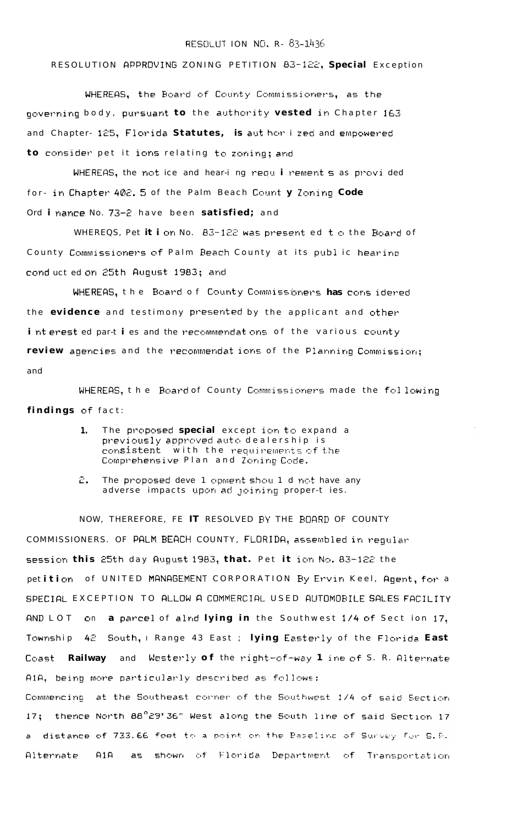## RESOLUT ION NO. R- 83-1436

## RESOLUTION APPROVING ZONING PETITION 83-122, Special Exception

WHEREAS, the Board of County Commissioners, as the governing body, pursuant to the authority vested in Chapter 163 and Chapter- 125, Florida Statutes, is aut hor i zed and empowered to consider pet it ions relating to zoning; and

WHEREAS, the not ice and hear-i ng requirement s as provided for- in Chapter 402. 5 of the Palm Beach Count y Zoning Code Ord i nance No. 73-2 have been satisfied; and

WHEREQS, Pet it i on No. 83-122 was present ed to the Board of County Commissioners of Palm Beach County at its publ ic hearing cond uct ed on 25th August 1983; and

WHEREAS, the Board of County Commissioners has considered the evidence and testimony presented by the applicant and other interested parties and the recommendations of the various county review agencies and the recommendat ions of the Planning Commission; and

WHEREAS, the Board of County Commissioners made the following findings of fact:

- The proposed special except ion to expand a 1. previously approved auto dealership is consistent with the requirements of the Comprehensive Plan and Zoning Code.
- ε. The proposed deve 1 opment shou 1 d not have any adverse impacts upon ad joining proper-t les.

NOW, THEREFORE, FE IT RESOLVED BY THE BOARD OF COUNTY COMMISSIONERS. OF PALM BEACH COUNTY, FLORIDA, assembled in requiar session this 25th day August 1983, that. Pet it ion No. 83-122 the petition of UNITED MANAGEMENT CORPORATION By Ervin Keel, Agent, for a SPECIAL EXCEPTION TO ALLOW A COMMERCIAL USED AUTOMOBILE SALES FACILITY AND LOT on a parcel of alnd lying in the Southwest 1/4 of Sect ion 17, Township 42 South, I Range 43 East ; lying Easterly of the Florida East Coast Railway and Westerly of the right-of-way 1 ine of S. R. Alternate A1A, being more particularly described as follows: Commencing at the Southeast conner of the Southwest 1/4 of said Section

thence North 88°29'36" West along the South line of said Section 17  $17:$ a distance of 733.66 feet to a point on the Baseline of Sunvey for S.R. as shown of Florida Department of Transportation  $A1A$ Alternate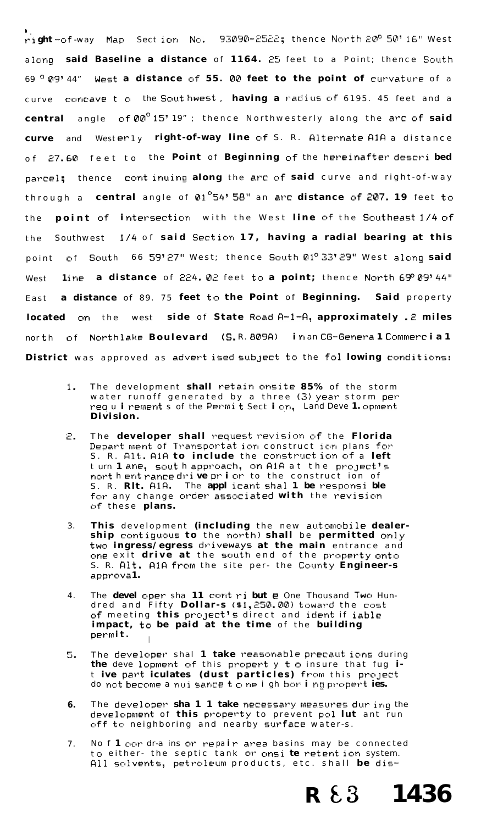right-of-way Map Section No. 93090-2522; thence North 20° 50' 16" West along said Baseline a distance of 1164. 25 feet to a Point; thence South 69 ° 09' 44" West a distance of 55. 00 feet to the point of curvature of a curve concave to the Southwest, having a radius of 6195. 45 feet and a central angle of  $\mathfrak{d}\mathfrak{d}^0$  15' 19"; thence Northwesterly along the arc of said curve and Westeriy right-of-way line of S. R. Alternate A1A a distance of 27.60 feet to the Point of Beginning of the hereinafter described parcel; thence continuing along the arc of said curve and right-of-way through a central angle of  $01^{\circ}54'$  58" an arc distance of 207. 19 feet to point of intersection with the West line of the Southeast 1/4 of the 1/4 of said Section 17, having a radial bearing at this the Southwest point of South 66 59'27" West; thence South 01º 33'29" West along said 1ine a distance of  $224.02$  feet to a point; thence North  $69^{\circ}09'44''$ West a distance of 89. 75 feet to the Point of Beginning. Said property Fast located on the west side of State Road A-1-A, approximately .2 miles north of Northlake Boulevard (S.R. 809A) in an CG-General Commercial District was approved as advert ised subject to the fol lowing conditions:

- The development shall retain onsite 85% of the storm  $1.$ water runoff generated by a three (3) year storm per req u i rements of the Permit Sect i on, Land Deve 1. opment Division.
- The developer shall request revision of the Florida 2. Depart ment of Transportat ion construct ion plans for S. R. Alt. A1A to include the construct ion of a left turn 1 ane, sout h approach, on A1A at the project's northent rance drive prior to the construct ion of S. R. Rlt. A1A. The applicant shall be responsible for any change order associated with the revision of these plans.
- This development (including the new automobile dealer-3. ship contiguous to the north) shall be permitted only two ingress/egress driveways at the main entrance and one exit drive at the south end of the property onto<br>S. R. Alt. AIA from the site per- the County Engineer-s approva1.
- The devel oper sha 11 contribute One Thousand Two Hun- $4<sub>1</sub>$ dred and Fifty Dollar-s (\$1,250.00) toward the cost of meeting this project's direct and ident if iable impact, to be paid at the time of the building permit.
- The developer shal 1 take reasonable precaut ions during 5. the development of this propert y to insure that fug i-<br>t ive part iculates (dust particles) from this project<br>do not become a nui sance to ne i gh bor ing propert ies.
- The developer  $\sin 1 1$  take necessary measures during the 6. development of this property to prevent pol lut ant run off to neighboring and nearby surface water-s.
- No f 1 cor dr-a ins or repair area basins may be connected  $7<sub>1</sub>$ to either- the septic tank or onsi te retent ion system. All solvents, petroleum products, etc. shall be dis-

 $R \& 3$  1436